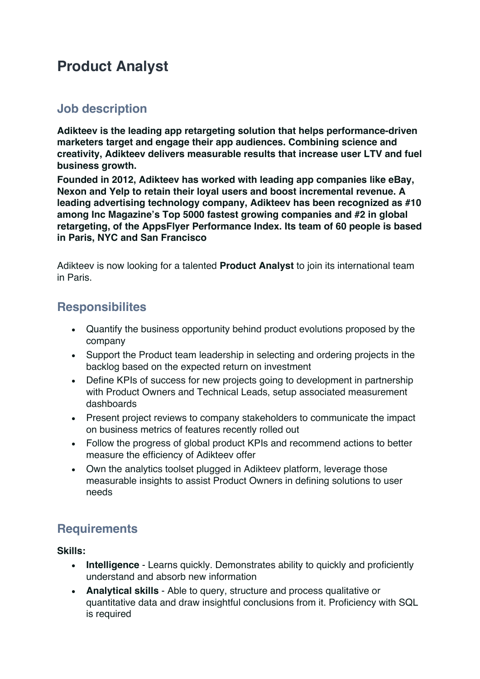# **Product Analyst**

# **Job description**

**Adikteev is the leading app retargeting solution that helps performance-driven marketers target and engage their app audiences. Combining science and creativity, Adikteev delivers measurable results that increase user LTV and fuel business growth.**

**Founded in 2012, Adikteev has worked with leading app companies like eBay, Nexon and Yelp to retain their loyal users and boost incremental revenue. A leading advertising technology company, Adikteev has been recognized as #10 among Inc Magazine's Top 5000 fastest growing companies and #2 in global retargeting, of the AppsFlyer Performance Index. Its team of 60 people is based in Paris, NYC and San Francisco**

Adikteev is now looking for a talented **Product Analyst** to join its international team in Paris.

### **Responsibilites**

- Quantify the business opportunity behind product evolutions proposed by the company
- Support the Product team leadership in selecting and ordering projects in the backlog based on the expected return on investment
- Define KPIs of success for new projects going to development in partnership with Product Owners and Technical Leads, setup associated measurement dashboards
- Present project reviews to company stakeholders to communicate the impact on business metrics of features recently rolled out
- Follow the progress of global product KPIs and recommend actions to better measure the efficiency of Adikteev offer
- Own the analytics toolset plugged in Adikteev platform, leverage those measurable insights to assist Product Owners in defining solutions to user needs

## **Requirements**

**Skills:**

- **Intelligence** Learns quickly. Demonstrates ability to quickly and proficiently understand and absorb new information
- **Analytical skills** Able to query, structure and process qualitative or quantitative data and draw insightful conclusions from it. Proficiency with SQL is required